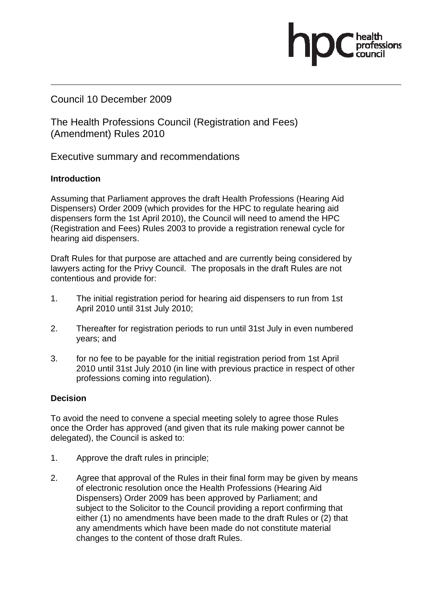Council 10 December 2009

The Health Professions Council (Registration and Fees) (Amendment) Rules 2010

Executive summary and recommendations

## **Introduction**

Assuming that Parliament approves the draft Health Professions (Hearing Aid Dispensers) Order 2009 (which provides for the HPC to regulate hearing aid dispensers form the 1st April 2010), the Council will need to amend the HPC (Registration and Fees) Rules 2003 to provide a registration renewal cycle for hearing aid dispensers.

Draft Rules for that purpose are attached and are currently being considered by lawyers acting for the Privy Council. The proposals in the draft Rules are not contentious and provide for:

- 1. The initial registration period for hearing aid dispensers to run from 1st April 2010 until 31st July 2010;
- 2. Thereafter for registration periods to run until 31st July in even numbered years; and
- 3. for no fee to be payable for the initial registration period from 1st April 2010 until 31st July 2010 (in line with previous practice in respect of other professions coming into regulation).

# **Decision**

To avoid the need to convene a special meeting solely to agree those Rules once the Order has approved (and given that its rule making power cannot be delegated), the Council is asked to:

- 1. Approve the draft rules in principle;
- 2. Agree that approval of the Rules in their final form may be given by means of electronic resolution once the Health Professions (Hearing Aid Dispensers) Order 2009 has been approved by Parliament; and subject to the Solicitor to the Council providing a report confirming that either (1) no amendments have been made to the draft Rules or (2) that any amendments which have been made do not constitute material changes to the content of those draft Rules.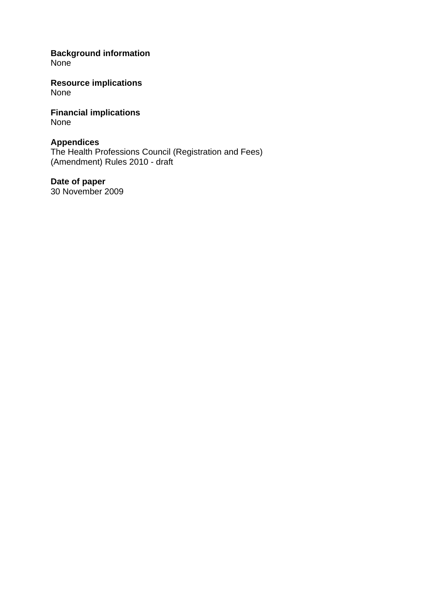**Background information None** 

**Resource implications**  None

**Financial implications**  None

# **Appendices**

The Health Professions Council (Registration and Fees) (Amendment) Rules 2010 - draft

**Date of paper**  30 November 2009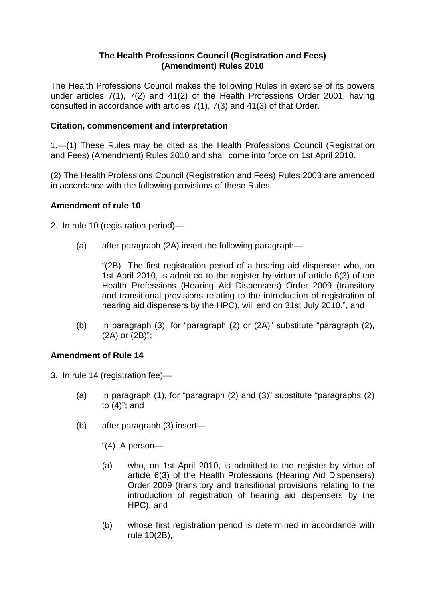#### **The Health Professions Council (Registration and Fees) (Amendment) Rules 2010**

The Health Professions Council makes the following Rules in exercise of its powers under articles 7(1), 7(2) and 41(2) of the Health Professions Order 2001, having consulted in accordance with articles 7(1), 7(3) and 41(3) of that Order.

#### **Citation, commencement and interpretation**

1.—(1) These Rules may be cited as the Health Professions Council (Registration and Fees) (Amendment) Rules 2010 and shall come into force on 1st April 2010.

(2) The Health Professions Council (Registration and Fees) Rules 2003 are amended in accordance with the following provisions of these Rules.

## **Amendment of rule 10**

- 2. In rule 10 (registration period)—
	- (a) after paragraph (2A) insert the following paragraph—

"(2B) The first registration period of a hearing aid dispenser who, on 1st April 2010, is admitted to the register by virtue of article 6(3) of the Health Professions (Hearing Aid Dispensers) Order 2009 (transitory and transitional provisions relating to the introduction of registration of hearing aid dispensers by the HPC), will end on 31st July 2010.", and

(b) in paragraph (3), for "paragraph (2) or (2A)" substitute "paragraph (2), (2A) or (2B)";

# **Amendment of Rule 14**

- 3. In rule 14 (registration fee)—
	- (a) in paragraph (1), for "paragraph (2) and (3)" substitute "paragraphs (2) to (4)"; and
	- (b) after paragraph (3) insert—
		- "(4) A person—
		- (a) who, on 1st April 2010, is admitted to the register by virtue of article 6(3) of the Health Professions (Hearing Aid Dispensers) Order 2009 (transitory and transitional provisions relating to the introduction of registration of hearing aid dispensers by the HPC); and
		- (b) whose first registration period is determined in accordance with rule 10(2B),